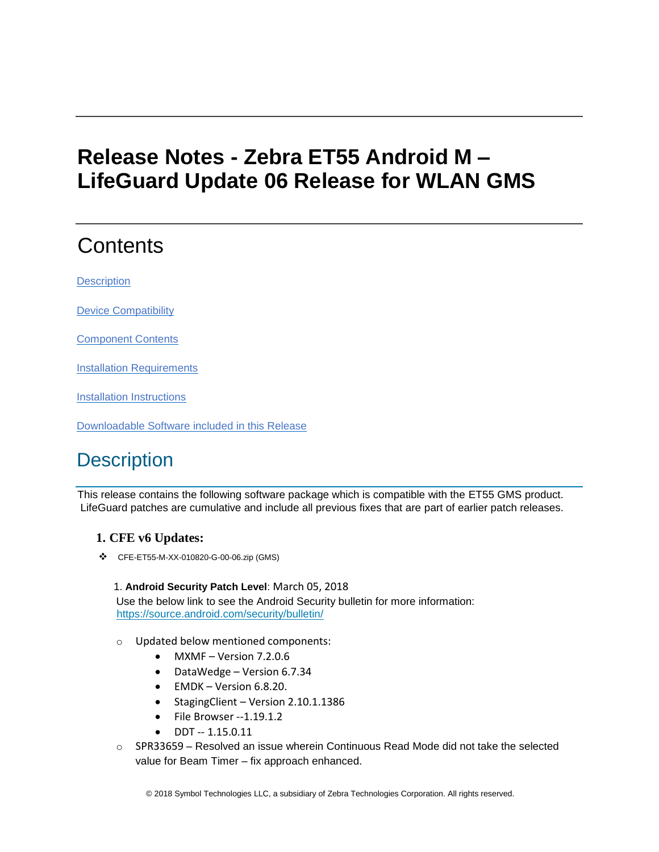## **Release Notes - Zebra ET55 Android M – LifeGuard Update 06 Release for WLAN GMS**

# **Contents**

**[Description](#page-0-0)** 

[Device Compatibility](#page-3-0)

[Component Contents](#page-3-1)

[Installation Requirements](#page-3-2)

[Installation Instructions](#page-3-3)

[Downloadable Software included in this Release](#page-5-0)

### <span id="page-0-0"></span>**Description**

This release contains the following software package which is compatible with the ET55 GMS product. LifeGuard patches are cumulative and include all previous fixes that are part of earlier patch releases.

### **1. CFE v6 Updates:**

❖ CFE-ET55-M-XX-010820-G-00-06.zip (GMS)

1. **Android Security Patch Level**: March 05, 2018 Use the below link to see the Android Security bulletin for more information: <https://source.android.com/security/bulletin/>

- o Updated below mentioned components:
	- MXMF Version 7.2.0.6
	- DataWedge Version 6.7.34
	- EMDK Version 6.8.20.
	- StagingClient Version 2.10.1.1386
	- File Browser --1.19.1.2
	- $\bullet$  DDT  $-1.15.0.11$
- $\circ$  SPR33659 Resolved an issue wherein Continuous Read Mode did not take the selected value for Beam Timer – fix approach enhanced.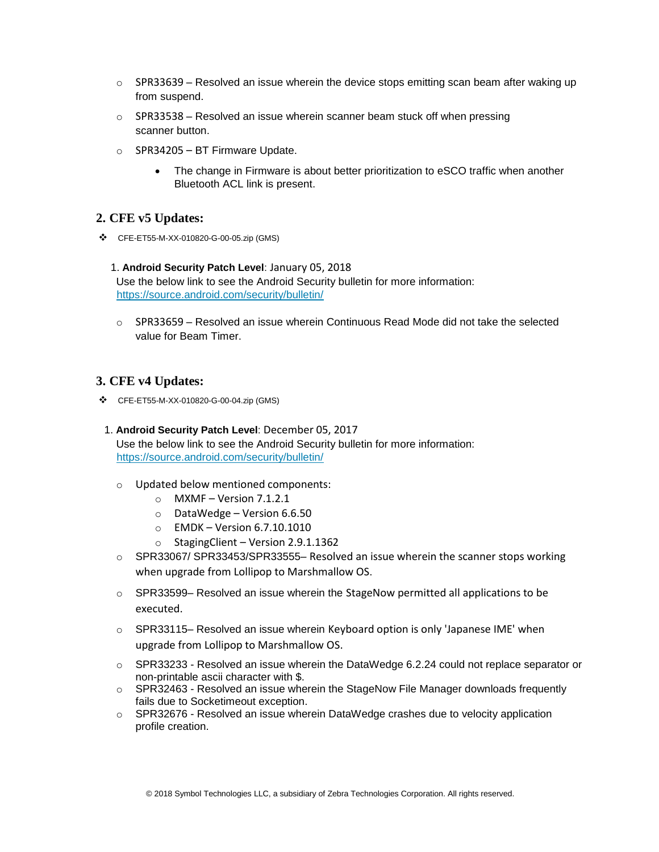- $\circ$  SPR33639 Resolved an issue wherein the device stops emitting scan beam after waking up from suspend.
- $\circ$  SPR33538 Resolved an issue wherein scanner beam stuck off when pressing scanner button.
- o SPR34205 BT Firmware Update.
	- The change in Firmware is about better prioritization to eSCO traffic when another Bluetooth ACL link is present.

### **2. CFE v5 Updates:**

- ❖ CFE-ET55-M-XX-010820-G-00-05.zip (GMS)
	- 1. **Android Security Patch Level**: January 05, 2018 Use the below link to see the Android Security bulletin for more information: <https://source.android.com/security/bulletin/>
	- $\circ$  SPR33659 Resolved an issue wherein Continuous Read Mode did not take the selected value for Beam Timer.

#### **3. CFE v4 Updates:**

- ❖ CFE-ET55-M-XX-010820-G-00-04.zip (GMS)
- 1. **Android Security Patch Level**: December 05, 2017 Use the below link to see the Android Security bulletin for more information: <https://source.android.com/security/bulletin/>
	- o Updated below mentioned components:
		- $\circ$  MXMF Version 7.1.2.1
		- $\circ$  DataWedge Version 6.6.50
		- o EMDK Version 6.7.10.1010
		- o StagingClient Version 2.9.1.1362
	- $\circ$  SPR33067/ SPR33453/SPR33555– Resolved an issue wherein the scanner stops working when upgrade from Lollipop to Marshmallow OS.
	- $\circ$  SPR33599– Resolved an issue wherein the StageNow permitted all applications to be executed.
	- $\circ$  SPR33115– Resolved an issue wherein Keyboard option is only 'Japanese IME' when upgrade from Lollipop to Marshmallow OS.
	- $\circ$  SPR33233 Resolved an issue wherein the DataWedge 6.2.24 could not replace separator or non-printable ascii character with \$.
	- $\circ$  SPR32463 Resolved an issue wherein the StageNow File Manager downloads frequently fails due to Socketimeout exception.
	- o SPR32676 Resolved an issue wherein DataWedge crashes due to velocity application profile creation.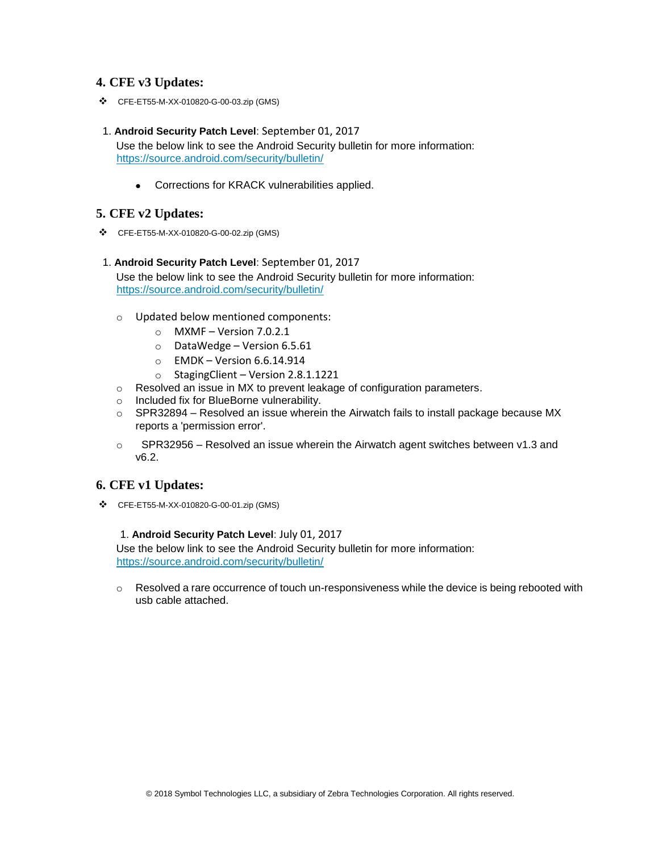### **4. CFE v3 Updates:**

- ❖ CFE-ET55-M-XX-010820-G-00-03.zip (GMS)
- 1. **Android Security Patch Level**: September 01, 2017 Use the below link to see the Android Security bulletin for more information: <https://source.android.com/security/bulletin/>
	- Corrections for KRACK vulnerabilities applied.

### **5. CFE v2 Updates:**

- ❖ CFE-ET55-M-XX-010820-G-00-02.zip (GMS)
- 1. **Android Security Patch Level**: September 01, 2017 Use the below link to see the Android Security bulletin for more information: <https://source.android.com/security/bulletin/>
	- o Updated below mentioned components:
		- $\circ$  MXMF Version 7.0.2.1
		- o DataWedge Version 6.5.61
		- $\circ$  EMDK Version 6.6.14.914
		- $\circ$  StagingClient Version 2.8.1.1221
	- o Resolved an issue in MX to prevent leakage of configuration parameters.
	- o Included fix for BlueBorne vulnerability.
	- $\circ$  SPR32894 Resolved an issue wherein the Airwatch fails to install package because MX reports a 'permission error'.
	- $\circ$  SPR32956 Resolved an issue wherein the Airwatch agent switches between v1.3 and v6.2.

### **6. CFE v1 Updates:**

❖ CFE-ET55-M-XX-010820-G-00-01.zip (GMS)

#### 1. **Android Security Patch Level**: July 01, 2017

Use the below link to see the Android Security bulletin for more information: <https://source.android.com/security/bulletin/>

 $\circ$  Resolved a rare occurrence of touch un-responsiveness while the device is being rebooted with usb cable attached.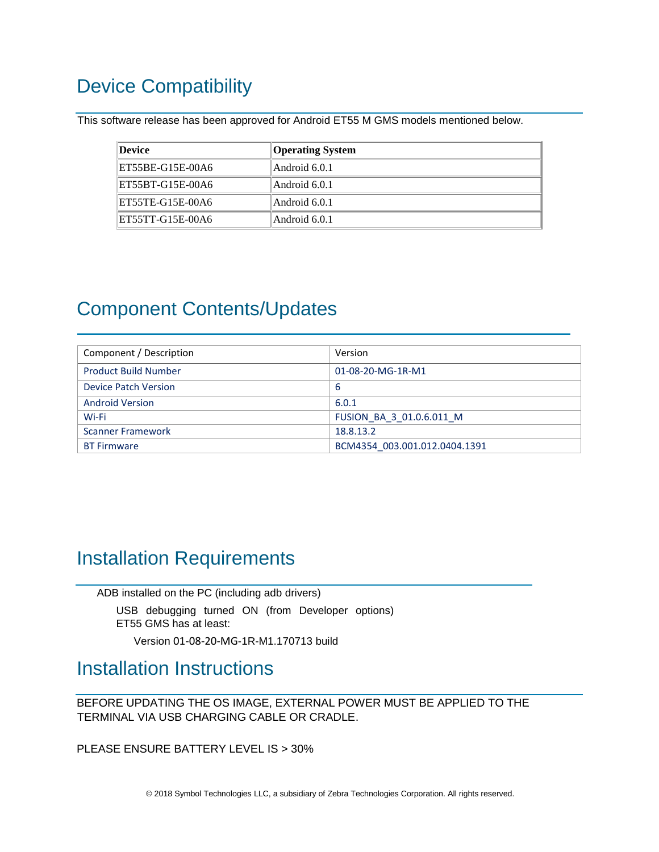## <span id="page-3-0"></span>Device Compatibility

This software release has been approved for Android ET55 M GMS models mentioned below.

| Device           | <b>Operating System</b> |
|------------------|-------------------------|
| ET55BE-G15E-00A6 | Android 6.0.1           |
| ET55BT-G15E-00A6 | Android 6.0.1           |
| ET55TE-G15E-00A6 | Android 6.0.1           |
| ET55TT-G15E-00A6 | Android 6.0.1           |

### <span id="page-3-1"></span>Component Contents/Updates

| Component / Description     | Version                       |
|-----------------------------|-------------------------------|
| <b>Product Build Number</b> | 01-08-20-MG-1R-M1             |
| Device Patch Version        | -6                            |
| <b>Android Version</b>      | 6.0.1                         |
| Wi-Fi                       | FUSION BA 3 01.0.6.011 M      |
| <b>Scanner Framework</b>    | 18.8.13.2                     |
| <b>BT Firmware</b>          | BCM4354 003.001.012.0404.1391 |

### <span id="page-3-2"></span>Installation Requirements

ADB installed on the PC (including adb drivers)

USB debugging turned ON (from Developer options) ET55 GMS has at least:

Version 01-08-20-MG-1R-M1.170713 build

### <span id="page-3-3"></span>Installation Instructions

BEFORE UPDATING THE OS IMAGE, EXTERNAL POWER MUST BE APPLIED TO THE TERMINAL VIA USB CHARGING CABLE OR CRADLE.

PLEASE ENSURE BATTERY LEVEL IS > 30%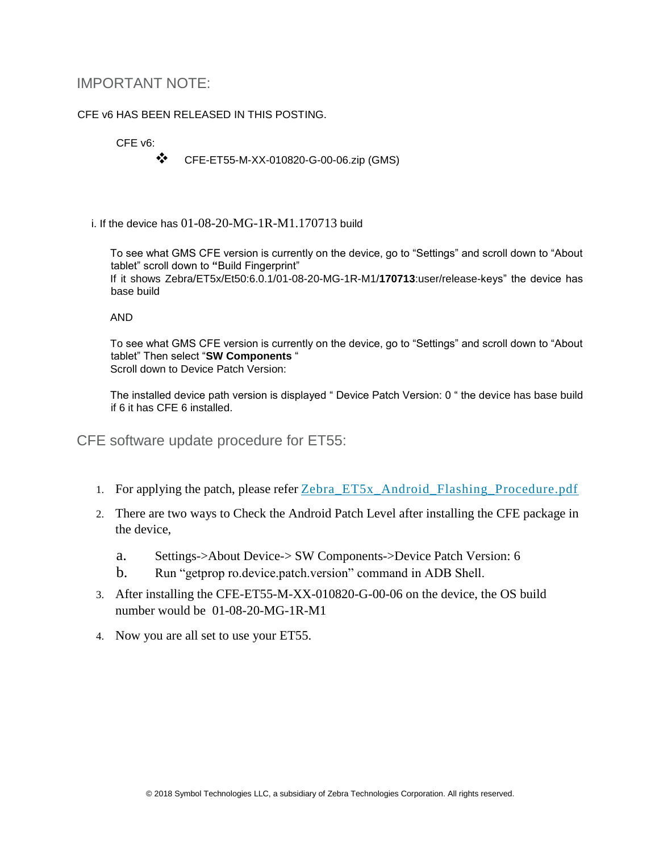### IMPORTANT NOTE:

### CFE v6 HAS BEEN RELEASED IN THIS POSTING.

### CFE v6:

❖ CFE-ET55-M-XX-010820-G-00-06.zip (GMS)

i. If the device has  $01-08-20-MG-1R-M1.170713$  build

To see what GMS CFE version is currently on the device, go to "Settings" and scroll down to "About tablet" scroll down to **"**Build Fingerprint" If it shows Zebra/ET5x/Et50:6.0.1/01-08-20-MG-1R-M1/**170713**:user/release-keys" the device has base build

#### AND

To see what GMS CFE version is currently on the device, go to "Settings" and scroll down to "About tablet" Then select "**SW Components** " Scroll down to Device Patch Version:

The installed device path version is displayed " Device Patch Version: 0 " the device has base build if 6 it has CFE 6 installed.

CFE software update procedure for ET55:

- 1. For applying the patch, please refer [Zebra\\_ET5x\\_Android\\_Flashing\\_Procedure.pdf](https://www.zebra.com/content/dam/zebra_new_ia/en-us/software/operating-system/ET5X%20Operating%20System/Zebra-ET5x-Android-Flashing-Procedure.pdf)
- 2. There are two ways to Check the Android Patch Level after installing the CFE package in the device,
	- a. Settings->About Device-> SW Components->Device Patch Version: 6
	- b. Run "getprop ro.device.patch.version" command in ADB Shell.
- 3. After installing the CFE-ET55-M-XX-010820-G-00-06 on the device, the OS build number would be 01-08-20-MG-1R-M1
- 4. Now you are all set to use your ET55.